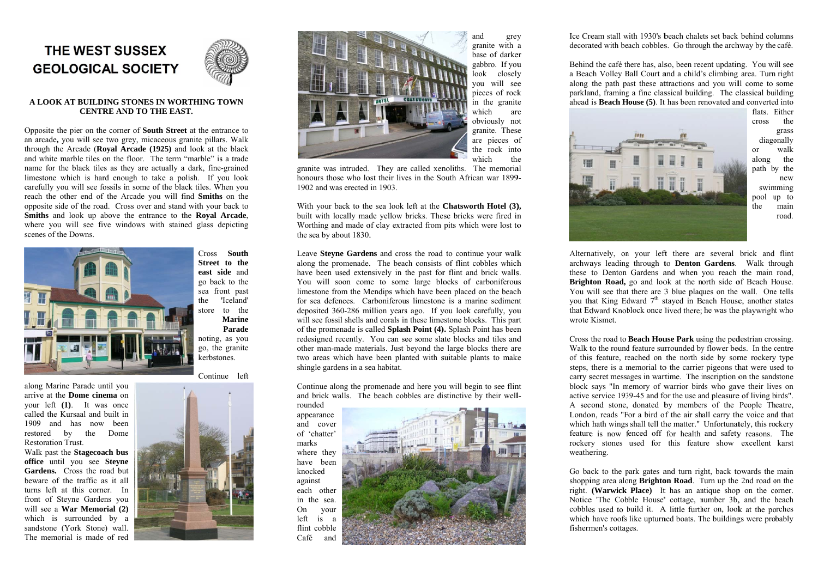# THE WEST SUSSEX **GEOLOGICAL SOCIETY**



## A LOOK AT BUILDING STONES IN WORTHING TOWN **CENTRE AND TO THE EAST.**

Opposite the pier on the corner of **South Street** at the entrance to an arcade, you will see two grey, micaceous granite pillars. Walk through the Arcade (Roval Arcade (1925) and look at the black and white marble tiles on the floor. The term "marble" is a trade name for the black tiles as they are actually a dark, fine-grained limestone which is hard enough to take a polish. If you look carefully you will see fossils in some of the black tiles. When you reach the other end of the Arcade you will find Smiths on the opposite side of the road. Cross over and stand with your back to Smiths and look up above the entrance to the Royal Arcade. where you will see five windows with stained glass depicting scenes of the Downs.



**Restoration Trust.** 

Cross South Street to the east side and go back to the sea front past 'Iceland' the store to the **Marine** Parade noting, as you go, the granite

Continue left

kerbstones.





and grey granite with a base of darker gabbro. If you  $\log k$ closely vou will see pieces of rock in the granite which are obviously not granite. These are pieces of the rock into which the

granite was intruded. They are called xenoliths. The memorial honours those who lost their lives in the South African war 1899-1902 and was erected in 1903

With your back to the sea look left at the Chatsworth Hotel (3), built with locally made vellow bricks. These bricks were fired in Worthing and made of clay extracted from pits which were lost to the sea by about 1830.

Leave Stevne Gardens and cross the road to continue your walk along the promenade. The beach consists of flint cobbles which have been used extensively in the past for flint and brick walls. You will soon come to some large blocks of carboniferous limestone from the Mendips which have been placed on the beach for sea defences. Carboniferous limestone is a marine sediment deposited 360-286 million years ago. If you look carefully, you will see fossil shells and corals in these limestone blocks. This part of the promenade is called Splash Point (4). Splash Point has been redesigned recently. You can see some slate blocks and tiles and other man-made materials. Just beyond the large blocks there are two areas which have been planted with suitable plants to make shingle gardens in a sea habitat.

Continue along the promenade and here you will begin to see flint and brick walls. The beach cobbles are distinctive by their well-

rounded appearance and cover of 'chatter' marks where they have been knocked against each other in the sea. On vour left  $is$   $a$ flint cobble Café and



Ice Cream stall with 1930's beach chalets set back behind columns decorated with beach cobbles. Go through the archway by the café.



wrote Kismet

weathering.

fishermen's cottages.

Behind the café there has, also, been recent updating. You will see a Beach Volley Ball Court and a child's climbing area. Turn right along the path past these attractions and you will come to some parkland, framing a fine classical building. The classical building  $\alpha$  ahead is **Beach House** (5). It has been renovated and converted into

flats. Either cross the grass diagonally **or** walk along the path by the new swimming pool up to the main road.

Alternatively, on your left there are several brick and flint archways leading through to Denton Gardens. Walk through these to Denton Gardens and when you reach the main road, Brighton Road, go and look at the north side of Beach House. You will see that there are 3 blue plagues on the wall. One tells you that King Edward 7<sup>th</sup> stayed in Beach House, another states that Edward Knoblock once lived there; he was the playwright who

Cross the road to **Beach House Park** using the pedestrian crossing. Walk to the round feature surrounded by flower beds. In the centre of this feature, reached on the north side by some rockery type steps, there is a memorial to the carrier pigeons that were used to carry secret messages in wartime. The inscription on the sandstone block says "In memory of warrior birds who gave their lives on active service 1939-45 and for the use and pleasure of living birds". A second stone, donated by members of the People Theatre, London, reads "For a bird of the air shall carry the voice and that which hath wings shall tell the matter." Unfortunately, this rockery feature is now fenced off for health and safety reasons. The rockery stones used for this feature show excellent karst

Go back to the park gates and turn right, back towards the main shopping area along **Brighton Road**. Turn up the 2nd road on the right. (Warwick Place) It has an antique shop on the corner. Notice 'The Cobble House' cottage, number 3b, and the beach cobbles used to build it. A little further on, look at the porches which have roofs like upturned boats. The buildings were probably